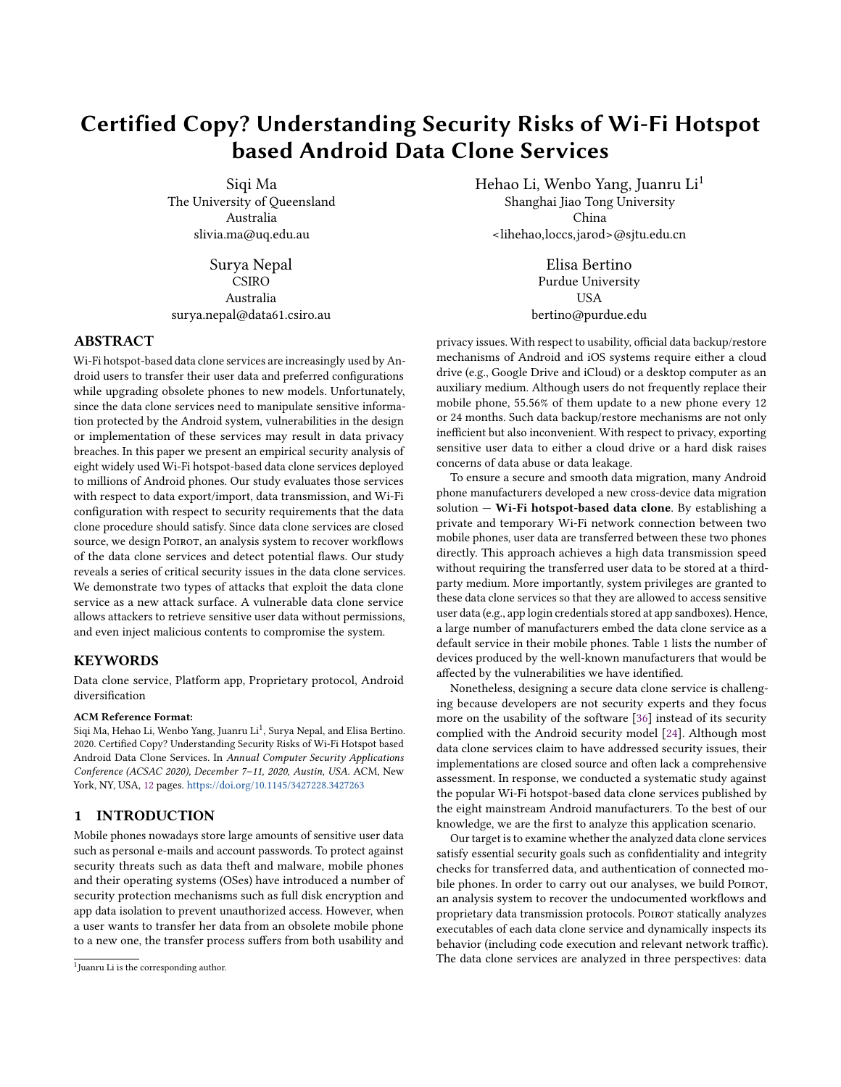# Certified Copy? Understanding Security Risks of Wi-Fi Hotspot based Android Data Clone Services

Siqi Ma The University of Queensland Australia slivia.ma@uq.edu.au

Surya Nepal CSIRO Australia surya.nepal@data61.csiro.au

# ABSTRACT

Wi-Fi hotspot-based data clone services are increasingly used by Android users to transfer their user data and preferred configurations while upgrading obsolete phones to new models. Unfortunately, since the data clone services need to manipulate sensitive information protected by the Android system, vulnerabilities in the design or implementation of these services may result in data privacy breaches. In this paper we present an empirical security analysis of eight widely used Wi-Fi hotspot-based data clone services deployed to millions of Android phones. Our study evaluates those services with respect to data export/import, data transmission, and Wi-Fi configuration with respect to security requirements that the data clone procedure should satisfy. Since data clone services are closed source, we design POIROT, an analysis system to recover workflows of the data clone services and detect potential flaws. Our study reveals a series of critical security issues in the data clone services. We demonstrate two types of attacks that exploit the data clone service as a new attack surface. A vulnerable data clone service allows attackers to retrieve sensitive user data without permissions, and even inject malicious contents to compromise the system.

#### **KEYWORDS**

Data clone service, Platform app, Proprietary protocol, Android diversification

#### ACM Reference Format:

Siqi Ma, Hehao Li, Wenbo Yang, Juanru Li<sup>1</sup>, Surya Nepal, and Elisa Bertino. 2020. Certified Copy? Understanding Security Risks of Wi-Fi Hotspot based Android Data Clone Services. In Annual Computer Security Applications Conference (ACSAC 2020), December 7–11, 2020, Austin, USA. ACM, New York, NY, USA, [12](#page-11-0) pages. <https://doi.org/10.1145/3427228.3427263>

# 1 INTRODUCTION

Mobile phones nowadays store large amounts of sensitive user data such as personal e-mails and account passwords. To protect against security threats such as data theft and malware, mobile phones and their operating systems (OSes) have introduced a number of security protection mechanisms such as full disk encryption and app data isolation to prevent unauthorized access. However, when a user wants to transfer her data from an obsolete mobile phone to a new one, the transfer process suffers from both usability and Hehao Li, Wenbo Yang, Juanru Li<sup>1</sup> Shanghai Jiao Tong University China <lihehao,loccs,jarod>@sjtu.edu.cn

> Elisa Bertino Purdue University **USA** bertino@purdue.edu

privacy issues. With respect to usability, official data backup/restore mechanisms of Android and iOS systems require either a cloud drive (e.g., Google Drive and iCloud) or a desktop computer as an auxiliary medium. Although users do not frequently replace their mobile phone, 55.56% of them update to a new phone every 12 or 24 months. Such data backup/restore mechanisms are not only inefficient but also inconvenient. With respect to privacy, exporting sensitive user data to either a cloud drive or a hard disk raises concerns of data abuse or data leakage.

To ensure a secure and smooth data migration, many Android phone manufacturers developed a new cross-device data migration solution  $-$  Wi-Fi hotspot-based data clone. By establishing a private and temporary Wi-Fi network connection between two mobile phones, user data are transferred between these two phones directly. This approach achieves a high data transmission speed without requiring the transferred user data to be stored at a thirdparty medium. More importantly, system privileges are granted to these data clone services so that they are allowed to access sensitive user data (e.g., app login credentials stored at app sandboxes). Hence, a large number of manufacturers embed the data clone service as a default service in their mobile phones. Table 1 lists the number of devices produced by the well-known manufacturers that would be affected by the vulnerabilities we have identified.

Nonetheless, designing a secure data clone service is challenging because developers are not security experts and they focus more on the usability of the software [\[36\]](#page-11-1) instead of its security complied with the Android security model [\[24\]](#page-11-2). Although most data clone services claim to have addressed security issues, their implementations are closed source and often lack a comprehensive assessment. In response, we conducted a systematic study against the popular Wi-Fi hotspot-based data clone services published by the eight mainstream Android manufacturers. To the best of our knowledge, we are the first to analyze this application scenario.

Our target is to examine whether the analyzed data clone services satisfy essential security goals such as confidentiality and integrity checks for transferred data, and authentication of connected mobile phones. In order to carry out our analyses, we build POIROT, an analysis system to recover the undocumented workflows and proprietary data transmission protocols. POIROT statically analyzes executables of each data clone service and dynamically inspects its behavior (including code execution and relevant network traffic). The data clone services are analyzed in three perspectives: data

<sup>&</sup>lt;sup>1</sup>Juanru Li is the corresponding author.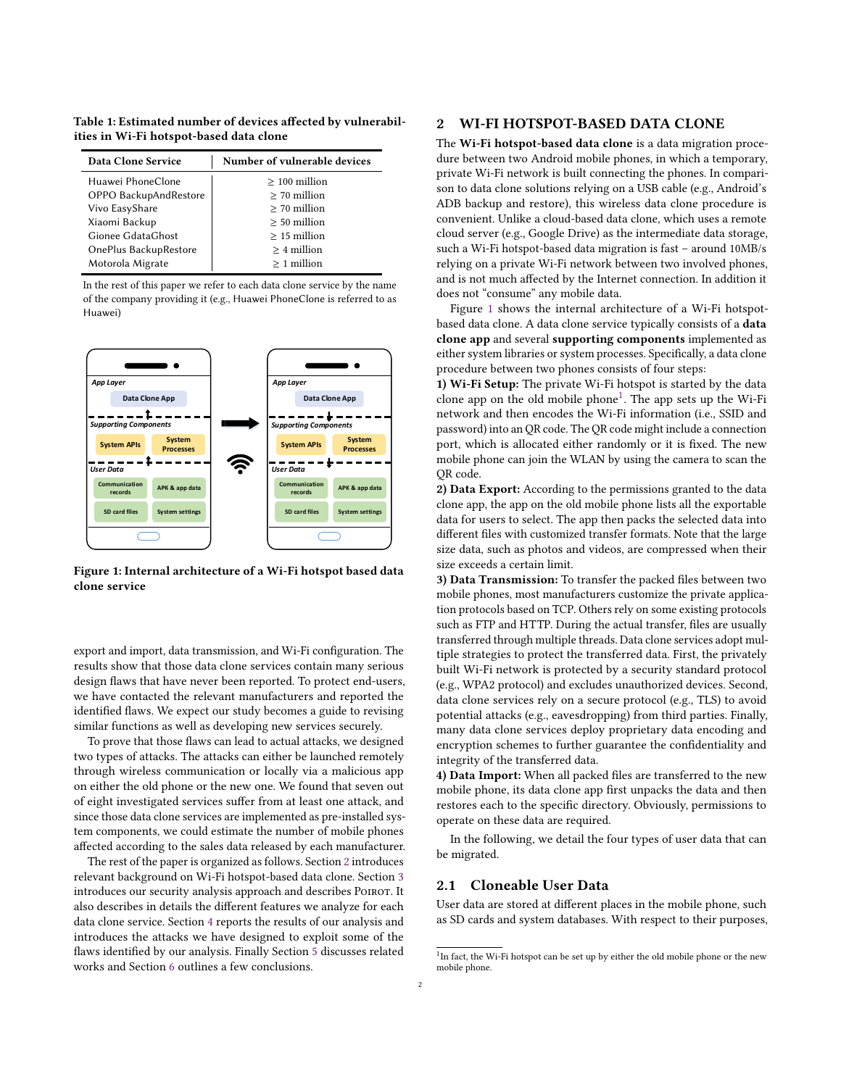Table 1: Estimated number of devices affected by vulnerabil-Table 1: Estimated number of devices affected by vulnerabilities in Wi-Fi hotspot-based data clone ities in Wi-Fi hotspot-based data clone

| Data Clone Service    | Number of vulnerable devices |
|-----------------------|------------------------------|
| Huawei PhoneClone     | $>100$ million               |
| OPPO BackupAndRestore | $>$ 70 million               |
| Vivo EasyShare        | $>$ 70 million               |
| Xiaomi Backup         | $> 50$ million               |
| Gionee GdataGhost     | $>15$ million                |
| OnePlus BackupRestore | $> 4$ million                |
| Motorola Migrate      | $>1$ million                 |

In the rest of this paper we refer to each data clone service by the name of the company providing it (e.g., Huawei PhoneClone is referred to as Huawei)

<span id="page-1-1"></span>

Figure 1: Internal architecture of a Wi-Fi hotspot based data nonetheless, designing a secure data clone service is challeng-

export and import, data transmission, and Wi-Fi configuration. The experienta imperi, add dangensively, and often results show that those data clone services contain many serious design flaws that have never been reported. To protect end-users, we have contacted the relevant manufacturers and reported the the eight contained and the best and contained manufacturers. The best our study becomes a guide to revising knowledge, we are the first to analyze this application scenario. similar functions as well as developing new services securely.

To prove that those flaws can lead to actual attacks, we designed two types of attacks. The attacks can either be launched remotely through wireless communication or locally via a malicious app on either the old phone or the new one. We found that seven out of eight investigated services suffer from at least one attack, and since those data clone services are implemented as pre-installed system components, we could estimate the number of mobile phones affected according to the sales data released by each manufacturer.

The rest of the paper is organized as follows. Section [2](#page-1-0) introduces relevant background on Wi-Fi hotspot-based data clone. Section [3](#page-2-0) introduces our security analysis approach and describes Poirot. It also describes in details the different features we analyze for each data clone service. Section [4](#page-5-0) reports the results of our analysis and introduces the attacks we have designed to exploit some of the flaws identified by our analysis. Finally Section [5](#page-9-0) discusses related works and Section [6](#page-10-0) outlines a few conclusions.

# <span id="page-1-0"></span>2 WI-FI HOTSPOT-BASED DATA CLONE

The Wi-Fi hotspot-based data clone is a data migration procedure between two Android mobile phones, in which a temporary, private Wi-Fi network is built connecting the phones. In comparison to data clone solutions relying on a USB cable (e.g., Android's ADB backup and restore), this wireless data clone procedure is convenient. Unlike a cloud-based data clone, which uses a remote cloud server (e.g., Google Drive) as the intermediate data storage, such a Wi-Fi hotspot-based data migration is fast – around 10MB/s relying on a private Wi-Fi network between two involved phones, and is not much affected by the Internet connection. In addition it does not "consume" any mobile data.

Figure [1](#page-1-1) shows the internal architecture of a Wi-Fi hotspotbased data clone. A data clone service typically consists of a data clone app and several supporting components implemented as either system libraries or system processes. Specifically, a data clone procedure between two phones consists of four steps:

1) Wi-Fi Setup: The private Wi-Fi hotspot is started by the data clone app on the old mobile phone<sup>[1](#page-1-2)</sup>. The app sets up the Wi-Fi network and then encodes the Wi-Fi information (i.e., SSID and password) into an QR code. The QR code might include a connection port, which is allocated either randomly or it is fixed. The new mobile phone can join the WLAN by using the camera to scan the OR code.

2) Data Export: According to the permissions granted to the data clone app, the app on the old mobile phone lists all the exportable data for users to select. The app then packs the selected data into different files with customized transfer formats. Note that the large size data, such as photos and videos, are compressed when their size exceeds a certain limit.

3) Data Transmission: To transfer the packed files between two mobile phones, most manufacturers customize the private application protocols based on TCP. Others rely on some existing protocols such as FTP and HTTP. During the actual transfer, files are usually transferred through multiple threads. Data clone services adopt multiple strategies to protect the transferred data. First, the privately built Wi-Fi network is protected by a security standard protocol (e.g., WPA2 protocol) and excludes unauthorized devices. Second, data clone services rely on a secure protocol (e.g., TLS) to avoid potential attacks (e.g., eavesdropping) from third parties. Finally, many data clone services deploy proprietary data encoding and encryption schemes to further guarantee the confidentiality and integrity of the transferred data.

4) Data Import: When all packed files are transferred to the new mobile phone, its data clone app first unpacks the data and then restores each to the specific directory. Obviously, permissions to operate on these data are required.

In the following, we detail the four types of user data that can be migrated.

# 2.1 Cloneable User Data

User data are stored at different places in the mobile phone, such as SD cards and system databases. With respect to their purposes,

<span id="page-1-2"></span><sup>&</sup>lt;sup>1</sup>In fact, the Wi-Fi hotspot can be set up by either the old mobile phone or the new mobile phone.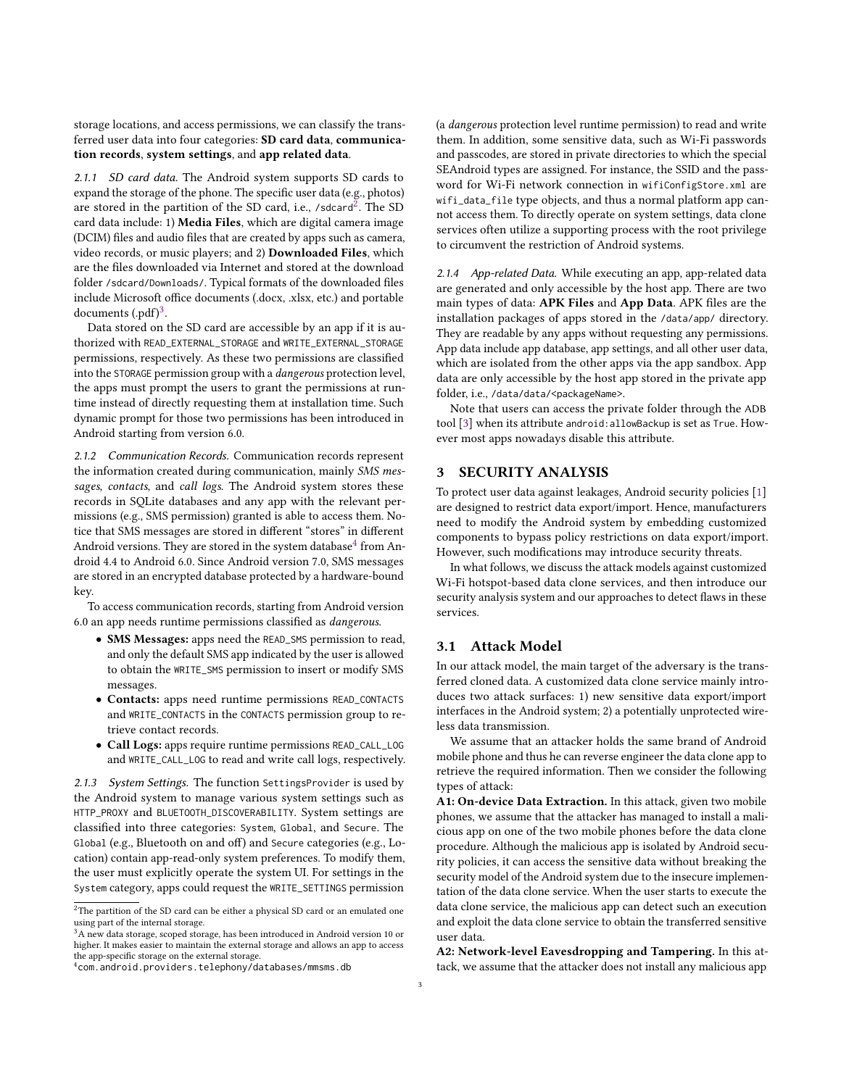storage locations, and access permissions, we can classify the transferred user data into four categories: SD card data, communication records, system settings, and app related data.

2.1.1 SD card data. The Android system supports SD cards to expand the storage of the phone. The specific user data (e.g., photos) are stored in the partition of the SD card, i.e., /sdcard<sup>[2](#page-2-1)</sup>. The SD card data include: 1) Media Files, which are digital camera image (DCIM) files and audio files that are created by apps such as camera, video records, or music players; and 2) Downloaded Files, which are the files downloaded via Internet and stored at the download folder /sdcard/Downloads/. Typical formats of the downloaded files include Microsoft office documents (.docx, .xlsx, etc.) and portable documents  $($ .pdf $)$ <sup>[3](#page-2-2)</sup>.

Data stored on the SD card are accessible by an app if it is authorized with READ\_EXTERNAL\_STORAGE and WRITE\_EXTERNAL\_STORAGE permissions, respectively. As these two permissions are classified into the STORAGE permission group with a dangerous protection level, the apps must prompt the users to grant the permissions at runtime instead of directly requesting them at installation time. Such dynamic prompt for those two permissions has been introduced in Android starting from version 6.0.

2.1.2 Communication Records. Communication records represent the information created during communication, mainly SMS messages, contacts, and call logs. The Android system stores these records in SQLite databases and any app with the relevant permissions (e.g., SMS permission) granted is able to access them. Notice that SMS messages are stored in different "stores" in different Android versions. They are stored in the system database $4$  from Android 4.4 to Android 6.0. Since Android version 7.0, SMS messages are stored in an encrypted database protected by a hardware-bound key.

To access communication records, starting from Android version 6.0 an app needs runtime permissions classified as dangerous.

- SMS Messages: apps need the READ\_SMS permission to read, and only the default SMS app indicated by the user is allowed to obtain the WRITE\_SMS permission to insert or modify SMS messages.
- Contacts: apps need runtime permissions READ\_CONTACTS and WRITE\_CONTACTS in the CONTACTS permission group to retrieve contact records.
- Call Logs: apps require runtime permissions READ\_CALL\_LOG and WRITE\_CALL\_LOG to read and write call logs, respectively.

2.1.3 System Settings. The function SettingsProvider is used by the Android system to manage various system settings such as HTTP\_PROXY and BLUETOOTH\_DISCOVERABILITY. System settings are classified into three categories: System, Global, and Secure. The Global (e.g., Bluetooth on and off) and Secure categories (e.g., Location) contain app-read-only system preferences. To modify them, the user must explicitly operate the system UI. For settings in the System category, apps could request the WRITE\_SETTINGS permission

(a dangerous protection level runtime permission) to read and write them. In addition, some sensitive data, such as Wi-Fi passwords and passcodes, are stored in private directories to which the special SEAndroid types are assigned. For instance, the SSID and the password for Wi-Fi network connection in wifiConfigStore.xml are wifi\_data\_file type objects, and thus a normal platform app cannot access them. To directly operate on system settings, data clone services often utilize a supporting process with the root privilege to circumvent the restriction of Android systems.

2.1.4 App-related Data. While executing an app, app-related data are generated and only accessible by the host app. There are two main types of data: APK Files and App Data. APK files are the installation packages of apps stored in the /data/app/ directory. They are readable by any apps without requesting any permissions. App data include app database, app settings, and all other user data, which are isolated from the other apps via the app sandbox. App data are only accessible by the host app stored in the private app folder, i.e., /data/data/<packageName>.

Note that users can access the private folder through the ADB tool [\[3\]](#page-10-1) when its attribute android:allowBackup is set as True. However most apps nowadays disable this attribute.

# <span id="page-2-0"></span>3 SECURITY ANALYSIS

To protect user data against leakages, Android security policies [\[1\]](#page-10-2) are designed to restrict data export/import. Hence, manufacturers need to modify the Android system by embedding customized components to bypass policy restrictions on data export/import. However, such modifications may introduce security threats.

In what follows, we discuss the attack models against customized Wi-Fi hotspot-based data clone services, and then introduce our security analysis system and our approaches to detect flaws in these services.

#### 3.1 Attack Model

In our attack model, the main target of the adversary is the transferred cloned data. A customized data clone service mainly introduces two attack surfaces: 1) new sensitive data export/import interfaces in the Android system; 2) a potentially unprotected wireless data transmission.

We assume that an attacker holds the same brand of Android mobile phone and thus he can reverse engineer the data clone app to retrieve the required information. Then we consider the following types of attack:

A1: On-device Data Extraction. In this attack, given two mobile phones, we assume that the attacker has managed to install a malicious app on one of the two mobile phones before the data clone procedure. Although the malicious app is isolated by Android security policies, it can access the sensitive data without breaking the security model of the Android system due to the insecure implementation of the data clone service. When the user starts to execute the data clone service, the malicious app can detect such an execution and exploit the data clone service to obtain the transferred sensitive user data.

A2: Network-level Eavesdropping and Tampering. In this attack, we assume that the attacker does not install any malicious app

<span id="page-2-1"></span> $^{2}$  The partition of the SD card can be either a physical SD card or an emulated one using part of the internal storage.

<span id="page-2-2"></span><sup>&</sup>lt;sup>3</sup>A new data storage, scoped storage, has been introduced in Android version 10 or higher. It makes easier to maintain the external storage and allows an app to access the app-specific storage on the external storage.

<span id="page-2-3"></span><sup>4</sup>com.android.providers.telephony/databases/mmsms.db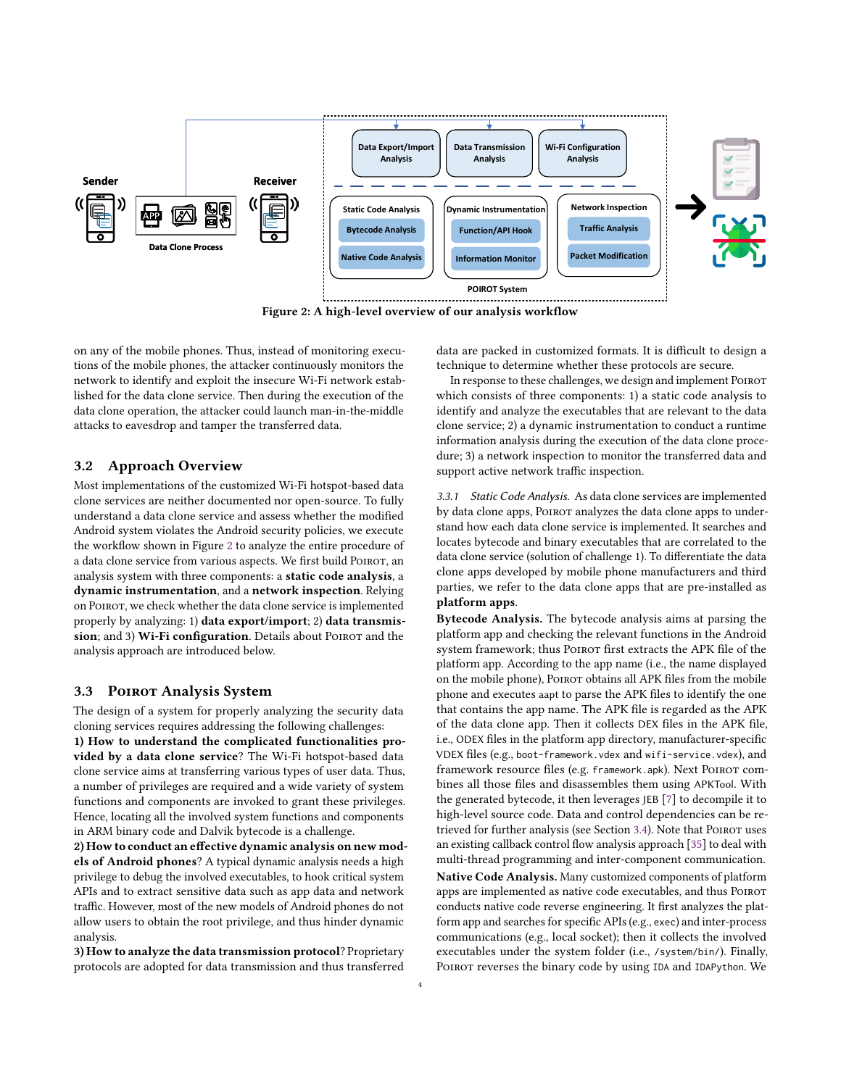<span id="page-3-0"></span>

Figure 2: A high-level overview of our analysis workflow

on any of the mobile phones. Thus, instead of monitoring executions of the mobile phones, the attacker continuously monitors the network to identify and exploit the insecure Wi-Fi network established for the data clone service. Then during the execution of the data clone operation, the attacker could launch man-in-the-middle attacks to eavesdrop and tamper the transferred data.

#### 3.2 Approach Overview

Most implementations of the customized Wi-Fi hotspot-based data clone services are neither documented nor open-source. To fully understand a data clone service and assess whether the modified Android system violates the Android security policies, we execute the workflow shown in Figure [2](#page-3-0) to analyze the entire procedure of a data clone service from various aspects. We first build POIROT, an analysis system with three components: a static code analysis, a dynamic instrumentation, and a network inspection. Relying on Poirot, we check whether the data clone service is implemented properly by analyzing: 1) data export/import; 2) data transmission; and 3) Wi-Fi configuration. Details about POIROT and the analysis approach are introduced below.

#### 3.3 POIROT Analysis System

The design of a system for properly analyzing the security data cloning services requires addressing the following challenges: 1) How to understand the complicated functionalities provided by a data clone service? The Wi-Fi hotspot-based data clone service aims at transferring various types of user data. Thus, a number of privileges are required and a wide variety of system functions and components are invoked to grant these privileges.

Hence, locating all the involved system functions and components in ARM binary code and Dalvik bytecode is a challenge.

2) How to conduct an effective dynamic analysis on new models of Android phones? A typical dynamic analysis needs a high privilege to debug the involved executables, to hook critical system APIs and to extract sensitive data such as app data and network traffic. However, most of the new models of Android phones do not allow users to obtain the root privilege, and thus hinder dynamic analysis.

3) How to analyze the data transmission protocol? Proprietary protocols are adopted for data transmission and thus transferred

data are packed in customized formats. It is difficult to design a technique to determine whether these protocols are secure.

In response to these challenges, we design and implement POIROT which consists of three components: 1) a static code analysis to identify and analyze the executables that are relevant to the data clone service; 2) a dynamic instrumentation to conduct a runtime information analysis during the execution of the data clone procedure; 3) a network inspection to monitor the transferred data and support active network traffic inspection.

3.3.1 Static Code Analysis. As data clone services are implemented by data clone apps, Poirot analyzes the data clone apps to understand how each data clone service is implemented. It searches and locates bytecode and binary executables that are correlated to the data clone service (solution of challenge 1). To differentiate the data clone apps developed by mobile phone manufacturers and third parties, we refer to the data clone apps that are pre-installed as platform apps.

Bytecode Analysis. The bytecode analysis aims at parsing the platform app and checking the relevant functions in the Android system framework; thus Poirot first extracts the APK file of the platform app. According to the app name (i.e., the name displayed on the mobile phone), POIROT obtains all APK files from the mobile phone and executes aapt to parse the APK files to identify the one that contains the app name. The APK file is regarded as the APK of the data clone app. Then it collects DEX files in the APK file, i.e., ODEX files in the platform app directory, manufacturer-specific VDEX files (e.g., boot-framework.vdex and wifi-service.vdex), and framework resource files (e.g. framework.apk). Next POIROT combines all those files and disassembles them using APKTool. With the generated bytecode, it then leverages JEB [\[7\]](#page-10-3) to decompile it to high-level source code. Data and control dependencies can be re-trieved for further analysis (see Section [3.4\)](#page-4-0). Note that POIROT uses an existing callback control flow analysis approach [\[35\]](#page-11-3) to deal with multi-thread programming and inter-component communication. Native Code Analysis. Many customized components of platform apps are implemented as native code executables, and thus Poirot conducts native code reverse engineering. It first analyzes the platform app and searches for specific APIs (e.g., exec) and inter-process communications (e.g., local socket); then it collects the involved executables under the system folder (i.e., /system/bin/). Finally, POIROT reverses the binary code by using IDA and IDAPython. We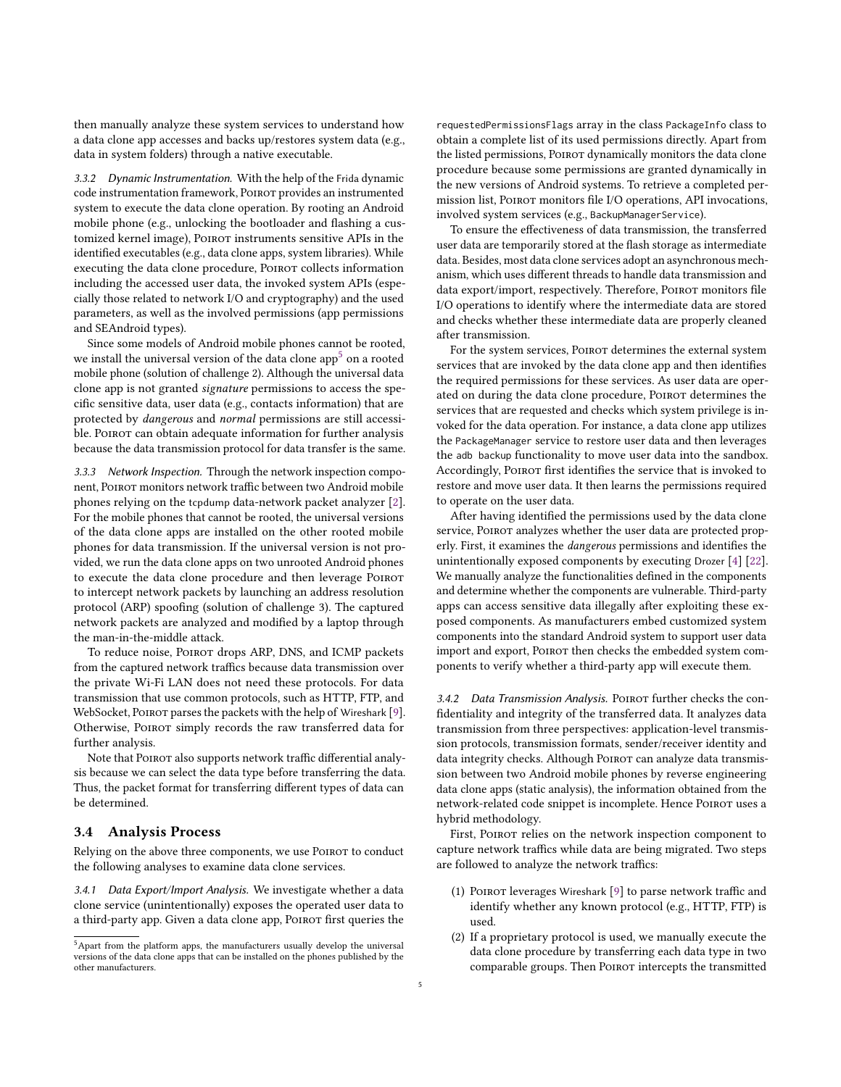then manually analyze these system services to understand how a data clone app accesses and backs up/restores system data (e.g., data in system folders) through a native executable.

3.3.2 Dynamic Instrumentation. With the help of the Frida dynamic code instrumentation framework, POIROT provides an instrumented system to execute the data clone operation. By rooting an Android mobile phone (e.g., unlocking the bootloader and flashing a customized kernel image), POIROT instruments sensitive APIs in the identified executables (e.g., data clone apps, system libraries). While executing the data clone procedure, POIROT collects information including the accessed user data, the invoked system APIs (especially those related to network I/O and cryptography) and the used parameters, as well as the involved permissions (app permissions and SEAndroid types).

Since some models of Android mobile phones cannot be rooted, we install the universal version of the data clone app<sup>[5](#page-4-1)</sup> on a rooted mobile phone (solution of challenge 2). Although the universal data clone app is not granted signature permissions to access the specific sensitive data, user data (e.g., contacts information) that are protected by dangerous and normal permissions are still accessible. POIROT can obtain adequate information for further analysis because the data transmission protocol for data transfer is the same.

<span id="page-4-2"></span>3.3.3 Network Inspection. Through the network inspection component, Poirot monitors network traffic between two Android mobile phones relying on the tcpdump data-network packet analyzer [\[2\]](#page-10-4). For the mobile phones that cannot be rooted, the universal versions of the data clone apps are installed on the other rooted mobile phones for data transmission. If the universal version is not provided, we run the data clone apps on two unrooted Android phones to execute the data clone procedure and then leverage POIROT to intercept network packets by launching an address resolution protocol (ARP) spoofing (solution of challenge 3). The captured network packets are analyzed and modified by a laptop through the man-in-the-middle attack.

To reduce noise, POIROT drops ARP, DNS, and ICMP packets from the captured network traffics because data transmission over the private Wi-Fi LAN does not need these protocols. For data transmission that use common protocols, such as HTTP, FTP, and WebSocket, POIROT parses the packets with the help of Wireshark [\[9\]](#page-10-5). Otherwise, Poirot simply records the raw transferred data for further analysis.

Note that POIROT also supports network traffic differential analysis because we can select the data type before transferring the data. Thus, the packet format for transferring different types of data can be determined.

#### <span id="page-4-0"></span>3.4 Analysis Process

Relying on the above three components, we use POIROT to conduct the following analyses to examine data clone services.

3.4.1 Data Export/Import Analysis. We investigate whether a data clone service (unintentionally) exposes the operated user data to a third-party app. Given a data clone app, Poirot first queries the requestedPermissionsFlags array in the class PackageInfo class to obtain a complete list of its used permissions directly. Apart from the listed permissions, Poirot dynamically monitors the data clone procedure because some permissions are granted dynamically in the new versions of Android systems. To retrieve a completed permission list, Poirot monitors file I/O operations, API invocations, involved system services (e.g., BackupManagerService).

To ensure the effectiveness of data transmission, the transferred user data are temporarily stored at the flash storage as intermediate data. Besides, most data clone services adopt an asynchronous mechanism, which uses different threads to handle data transmission and data export/import, respectively. Therefore, POIROT monitors file I/O operations to identify where the intermediate data are stored and checks whether these intermediate data are properly cleaned after transmission.

For the system services, POIROT determines the external system services that are invoked by the data clone app and then identifies the required permissions for these services. As user data are operated on during the data clone procedure, POIROT determines the services that are requested and checks which system privilege is invoked for the data operation. For instance, a data clone app utilizes the PackageManager service to restore user data and then leverages the adb backup functionality to move user data into the sandbox. Accordingly, Poirot first identifies the service that is invoked to restore and move user data. It then learns the permissions required to operate on the user data.

After having identified the permissions used by the data clone service, POIROT analyzes whether the user data are protected properly. First, it examines the dangerous permissions and identifies the unintentionally exposed components by executing Drozer [\[4\]](#page-10-6) [\[22\]](#page-11-4). We manually analyze the functionalities defined in the components and determine whether the components are vulnerable. Third-party apps can access sensitive data illegally after exploiting these exposed components. As manufacturers embed customized system components into the standard Android system to support user data import and export, POIROT then checks the embedded system components to verify whether a third-party app will execute them.

3.4.2 Data Transmission Analysis. POIROT further checks the confidentiality and integrity of the transferred data. It analyzes data transmission from three perspectives: application-level transmission protocols, transmission formats, sender/receiver identity and data integrity checks. Although POIROT can analyze data transmission between two Android mobile phones by reverse engineering data clone apps (static analysis), the information obtained from the network-related code snippet is incomplete. Hence POIROT uses a hybrid methodology.

First, Poirot relies on the network inspection component to capture network traffics while data are being migrated. Two steps are followed to analyze the network traffics:

- (1) Poirot leverages Wireshark [\[9\]](#page-10-5) to parse network traffic and identify whether any known protocol (e.g., HTTP, FTP) is used.
- (2) If a proprietary protocol is used, we manually execute the data clone procedure by transferring each data type in two comparable groups. Then POIROT intercepts the transmitted

<span id="page-4-1"></span><sup>5</sup>Apart from the platform apps, the manufacturers usually develop the universal versions of the data clone apps that can be installed on the phones published by the other manufacturers.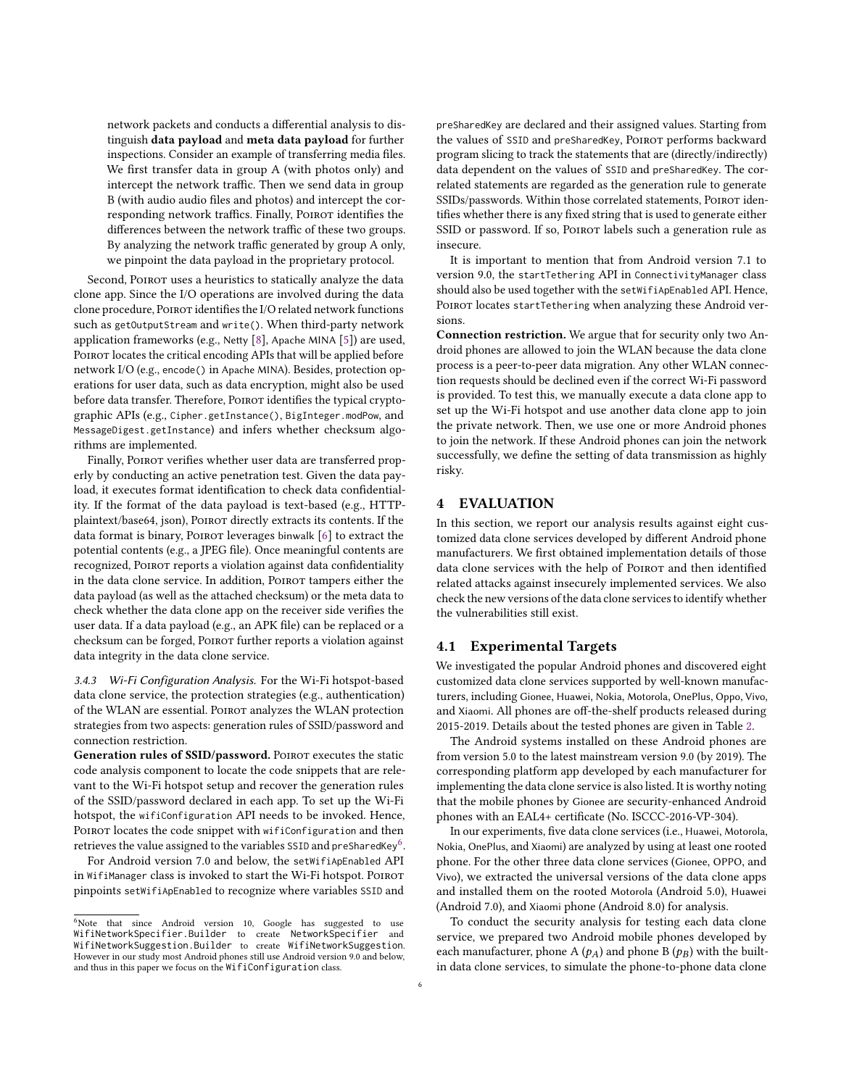network packets and conducts a differential analysis to distinguish data payload and meta data payload for further inspections. Consider an example of transferring media files. We first transfer data in group A (with photos only) and intercept the network traffic. Then we send data in group B (with audio audio files and photos) and intercept the corresponding network traffics. Finally, POIROT identifies the differences between the network traffic of these two groups. By analyzing the network traffic generated by group A only, we pinpoint the data payload in the proprietary protocol.

Second, POIROT uses a heuristics to statically analyze the data clone app. Since the I/O operations are involved during the data clone procedure, POIROT identifies the I/O related network functions such as getOutputStream and write(). When third-party network application frameworks (e.g., Netty [\[8\]](#page-10-7), Apache MINA [\[5\]](#page-10-8)) are used, Poirot locates the critical encoding APIs that will be applied before network I/O (e.g., encode() in Apache MINA). Besides, protection operations for user data, such as data encryption, might also be used before data transfer. Therefore, POIROT identifies the typical cryptographic APIs (e.g., Cipher.getInstance(), BigInteger.modPow, and MessageDigest.getInstance) and infers whether checksum algorithms are implemented.

Finally, POIROT verifies whether user data are transferred properly by conducting an active penetration test. Given the data payload, it executes format identification to check data confidentiality. If the format of the data payload is text-based (e.g., HTTPplaintext/base64, json), POIROT directly extracts its contents. If the data format is binary, POIROT leverages binwalk [\[6\]](#page-10-9) to extract the potential contents (e.g., a JPEG file). Once meaningful contents are recognized, POIROT reports a violation against data confidentiality in the data clone service. In addition, POIROT tampers either the data payload (as well as the attached checksum) or the meta data to check whether the data clone app on the receiver side verifies the user data. If a data payload (e.g., an APK file) can be replaced or a checksum can be forged, Poirot further reports a violation against data integrity in the data clone service.

3.4.3 Wi-Fi Configuration Analysis. For the Wi-Fi hotspot-based data clone service, the protection strategies (e.g., authentication) of the WLAN are essential. Poirot analyzes the WLAN protection strategies from two aspects: generation rules of SSID/password and connection restriction.

Generation rules of SSID/password. POIROT executes the static code analysis component to locate the code snippets that are relevant to the Wi-Fi hotspot setup and recover the generation rules of the SSID/password declared in each app. To set up the Wi-Fi hotspot, the wifiConfiguration API needs to be invoked. Hence, POIROT locates the code snippet with wifiConfiguration and then retrieves the value assigned to the variables SSID and preSharedKey<sup>[6](#page-5-1)</sup>.

For Android version 7.0 and below, the setWifiApEnabled API in WifiManager class is invoked to start the Wi-Fi hotspot. POIROT pinpoints setWifiApEnabled to recognize where variables SSID and preSharedKey are declared and their assigned values. Starting from the values of SSID and preSharedKey, POIROT performs backward program slicing to track the statements that are (directly/indirectly) data dependent on the values of SSID and preSharedKey. The correlated statements are regarded as the generation rule to generate SSIDs/passwords. Within those correlated statements, POIROT identifies whether there is any fixed string that is used to generate either SSID or password. If so, POIROT labels such a generation rule as insecure.

It is important to mention that from Android version 7.1 to version 9.0, the startTethering API in ConnectivityManager class should also be used together with the setWifiApEnabled API. Hence, POIROT locates startTethering when analyzing these Android versions.

Connection restriction. We argue that for security only two Android phones are allowed to join the WLAN because the data clone process is a peer-to-peer data migration. Any other WLAN connection requests should be declined even if the correct Wi-Fi password is provided. To test this, we manually execute a data clone app to set up the Wi-Fi hotspot and use another data clone app to join the private network. Then, we use one or more Android phones to join the network. If these Android phones can join the network successfully, we define the setting of data transmission as highly risky.

#### <span id="page-5-0"></span>4 EVALUATION

In this section, we report our analysis results against eight customized data clone services developed by different Android phone manufacturers. We first obtained implementation details of those data clone services with the help of POIROT and then identified related attacks against insecurely implemented services. We also check the new versions of the data clone services to identify whether the vulnerabilities still exist.

#### 4.1 Experimental Targets

We investigated the popular Android phones and discovered eight customized data clone services supported by well-known manufacturers, including Gionee, Huawei, Nokia, Motorola, OnePlus, Oppo, Vivo, and Xiaomi. All phones are off-the-shelf products released during 2015-2019. Details about the tested phones are given in Table [2.](#page-6-0)

The Android systems installed on these Android phones are from version 5.0 to the latest mainstream version 9.0 (by 2019). The corresponding platform app developed by each manufacturer for implementing the data clone service is also listed. It is worthy noting that the mobile phones by Gionee are security-enhanced Android phones with an EAL4+ certificate (No. ISCCC-2016-VP-304).

In our experiments, five data clone services (i.e., Huawei, Motorola, Nokia, OnePlus, and Xiaomi) are analyzed by using at least one rooted phone. For the other three data clone services (Gionee, OPPO, and Vivo), we extracted the universal versions of the data clone apps and installed them on the rooted Motorola (Android 5.0), Huawei (Android 7.0), and Xiaomi phone (Android 8.0) for analysis.

To conduct the security analysis for testing each data clone service, we prepared two Android mobile phones developed by each manufacturer, phone A ( $p_A$ ) and phone B ( $p_B$ ) with the builtin data clone services, to simulate the phone-to-phone data clone

<span id="page-5-1"></span><sup>&</sup>lt;sup>6</sup>Note that since Android version 10, Google has suggested to use WifiNetworkSpecifier.Builder to create NetworkSpecifier and WifiNetworkSuggestion.Builder to create WifiNetworkSuggestion. However in our study most Android phones still use Android version 9.0 and below, and thus in this paper we focus on the WifiConfiguration class.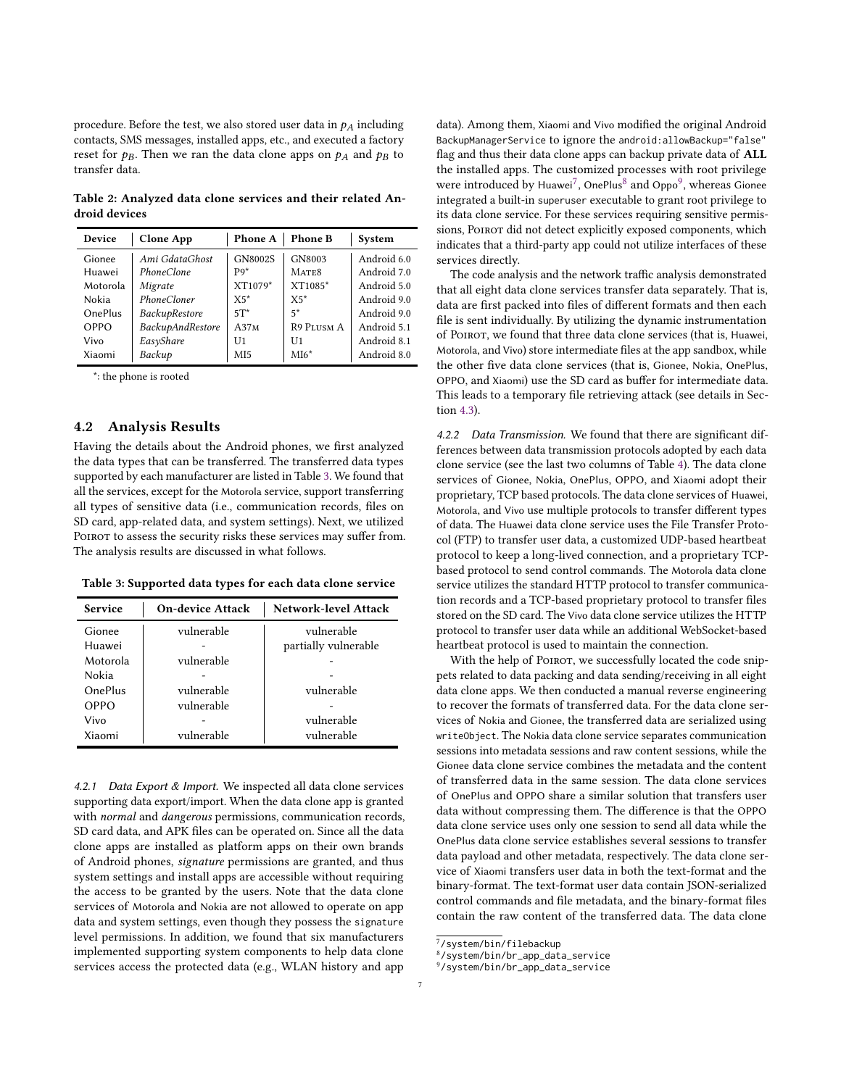procedure. Before the test, we also stored user data in  $p_A$  including contacts, SMS messages, installed apps, etc., and executed a factory reset for  $p_B$ . Then we ran the data clone apps on  $p_A$  and  $p_B$  to transfer data.

<span id="page-6-0"></span>Table 2: Analyzed data clone services and their related An-Table 2: Analyzed data clone services and their related Android devices droid devices

| Device         | <b>Clone App</b> | Phone A          | <b>Phone B</b>    | System      |
|----------------|------------------|------------------|-------------------|-------------|
| Gionee         | Ami GdataGhost   | <b>GN8002S</b>   | GN8003            | Android 6.0 |
| Huawei         | PhoneClone       | P <sub>9</sub> * | MATE <sub>8</sub> | Android 7.0 |
| Motorola       | Migrate          | XT1079*          | XT1085*           | Android 5.0 |
| Nokia          | PhoneCloner      | $X5*$            | $X5*$             | Android 9.0 |
| <b>OnePlus</b> | BackupRestore    | $5T^*$           | $5*$              | Android 9.0 |
| OPPO           | BackupAndRestore | A37M             | <b>R9 PLUSM A</b> | Android 5.1 |
| Vivo           | EasyShare        | U <sub>1</sub>   | U1                | Android 8.1 |
| Xiaomi         | Backup           | MI <sub>5</sub>  | $M16*$            | Android 8.0 |

\*: the phone is rooted

### 4.2 Analysis Results

Having the details about the Android phones, we first analyzed supported by each manufacturer are listed in Table [3.](#page-6-1) We found that all the services, except for the Motorola service, support transferring SD card, app-related data, and system settings). Next, we utilized POIROT to assess the security risks these services may suffer from. The analysis results are discussed in what follows. Nokia - the data types that can be transferred. The transferred data types all types of sensitive data (i.e., communication records, files on

<span id="page-6-1"></span>

| Table 3: Supported data types for each data clone service |  |  |  |
|-----------------------------------------------------------|--|--|--|
|                                                           |  |  |  |

| <b>Service</b> | <b>On-device Attack</b> | Network-level Attack |
|----------------|-------------------------|----------------------|
| Gionee         | vulnerable              | vulnerable           |
| Huawei         |                         | partially vulnerable |
| Motorola       | vulnerable              |                      |
| Nokia          |                         |                      |
| <b>OnePlus</b> | vulnerable              | vulnerable           |
| OPPO           | vulnerable              |                      |
| Vivo           |                         | vulnerable           |
| Xiaomi         | vulnerable              | vulnerable           |

the access to be granted by the users. Note that the data clone 4.2.1 Data Export & Import. We inspected all data clone services supporting data export/import. When the data clone app is granted with normal and dangerous permissions, communication records, SD card data, and APK files can be operated on. Since all the data clone apps are installed as platform apps on their own brands of Android phones, signature permissions are granted, and thus system settings and install apps are accessible without requiring the access to be granted by the users. Note that the data clone services of Motorola and Nokia are not allowed to operate on app data and system settings, even though they possess the signature level permissions. In addition, we found that six manufacturers implemented supporting system components to help data clone services access the protected data (e.g., WLAN history and app

integrated a built-in superuser executable to grant root privilege to its data clone service. For these services requiring sensitive permissions, PoIROT did not detect explicitly exposed components, which indicates that a third-party app could not utilize interfaces of these services directly. data). Among them, Xiaomi and Vivo modified the original Android BackupManagerService to ignore the android:allowBackup="false" flag and thus their data clone apps can backup private data of ALL the installed apps. The customized processes with root privilege were introduced by Huawei<sup>[7](#page-6-2)</sup>, OnePlus<sup>[8](#page-6-3)</sup> and Oppo<sup>[9](#page-6-4)</sup>, whereas Gionee services directly.

The code analysis and the network traffic analysis demonstrated that all eight data clone services transfer data separately. That is, data are first packed into files of different formats and then each  $\,$ file is sent individually. By utilizing the dynamic instrumentation  $\;$ of POIROT, we found that three data clone services (that is, Huawei, the other five data clone services (that is, Gionee, Nokia, OnePlus, OPPO, and Xiaomi) use the SD card as buffer for intermediate data. This leads to a temporary file retrieving attack (see details in Secservices of Giovenni  $(4.3)$ , Operation of  $(4.3)$ Motorola, and Vivo) store intermediate files at the app sandbox, while tion [4.3\)](#page-8-0).

4.2.2 Data Transmission. We found that there are significant difmand virus virus virus collars were seen that there are eigensteined and ferences between data transmission protocols adopted by each data of data. The Huawei data clone service uses the File Transfer Proto-clone service (see the last two columns of Table [4\)](#page-7-0). The data clone coll (FTP) to the life the Collisions of Times by the limit to the services of Gionee, Nokia, OnePlus, OPPO, and Xiaomi adopt their proprietary, TCP-based protocols. The data clone services of Huawei, based protocol to send control commands. The Motorola data clone Motorola, and Vivo use multiple protocols to transfer different types of data. The Huawei data clone service uses the File Transfer Prototion records and a TCP-based proprietary protocol to transfer files col (FTP) to transfer user data, a customized UDP-based heartbeat protocol to keep a long-lived connection, and a proprietary TCPprotocol to transfer user data control commands. The Motorola data clone based protocol to send control commands. The Motorola data clone ensus protocol to collaboration the connection. The control and collection of the connection of the connection of the connection of the connection. tion records and a TCP-based proprietary protocol to transfer files pets related to data packing and data sending/receiving in all eight stored on the SD card. The Vivo data clone service utilizes the HTTP protocol to transfer user data while an additional WebSocket-based to recover the formats of transferred data. For the data clone ser-heartbeat protocol is used to maintain the connection.

With the help of POIROT, we successfully located the code snippets related to data packing and data sending/receiving in all eight sessions into metadata sessions and raw content sessions, while the data clone apps. We then conducted a manual reverse engineering The content of the metal combines the metallicity of the content of the content of the content of transferred data. For the data clone services of Nokia and Gionee, the transferred data are serialized using The State and Opposition that the State and the State and transferse using writeObject. The Nokia data clone service separates communication death with the difference is that the OPPO plant of Communications. data clone service uses only one session to send all data while the Gionee data clone service combines the metadata and the content OnePlus data clone service establishes several sessions to transfer of transferred data in the same session. The data clone services of OnePlus and OPPO share a similar solution that transfers userof the tas and of the state a sinimal solution that indicates asset data without compressing them. The difference is that the OPPO data clone service uses only one session to send all data while the control commands and file metadata, and the binary-format files OnePlus data clone service establishes several sessions to transfer contain the raw content of the transferred data. The data clone data payload and other metadata, respectively. The data clone serservices of Motorola transfers data (SD card files with TCP, commu-vice of Xiaomi transfers user data in both the text-format and the nication records with the HTTP can be vice the Vivo data and the Vivo data contain JSON-serialized control commands and file metadata, and the binary-format files contain the raw content of the transferred data. The data clone dia data are compressed as a .zip file, and app data are packed as .zip file, and app data are packed as  $\frac{1}{2}$ 

<span id="page-6-3"></span><span id="page-6-2"></span> $\frac{7}{3}$ ystem/bin/filebackup

<sup>8/</sup>system/bin/br\_app\_data\_service

<span id="page-6-4"></span> $9$ /system/bin/br\_app\_data\_service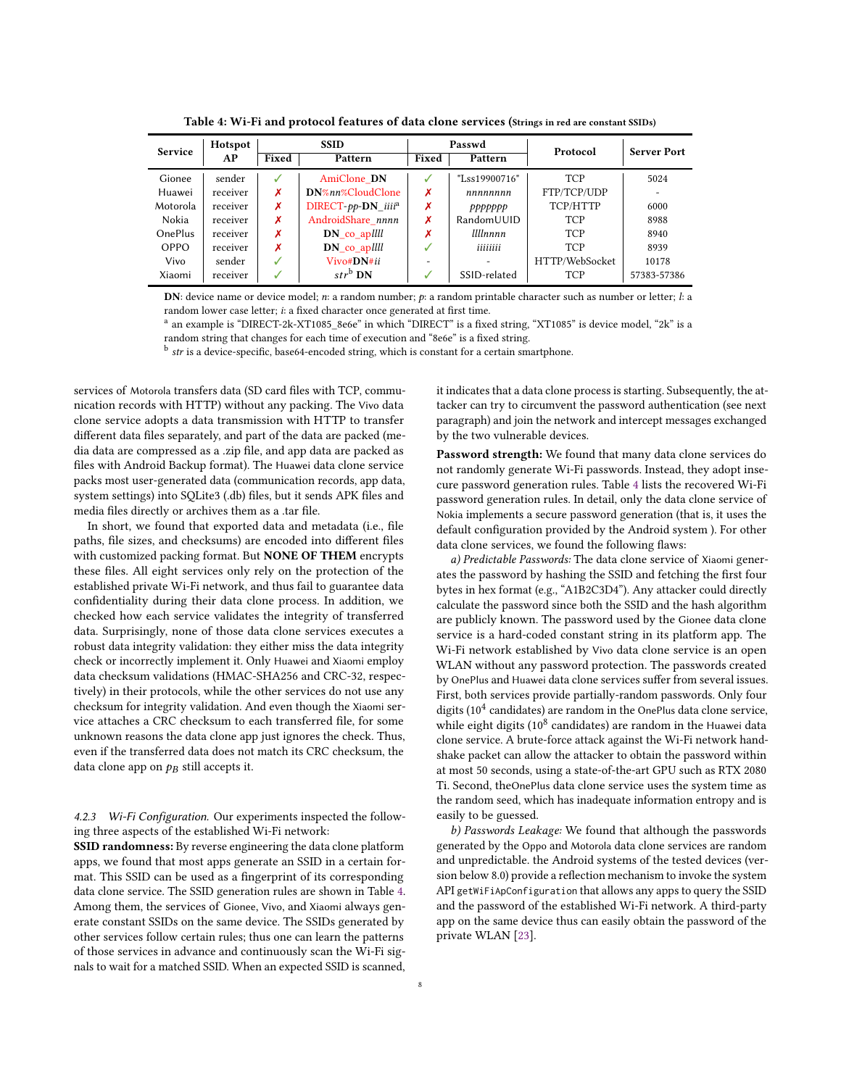<span id="page-7-0"></span>

| <b>Service</b> | Hotspot  | <b>SSID</b> |                                    | Passwd                   |                 | Protocol       | <b>Server Port</b> |
|----------------|----------|-------------|------------------------------------|--------------------------|-----------------|----------------|--------------------|
|                | AP       | Fixed       | Pattern                            | Fixed                    | Pattern         |                |                    |
| Gionee         | sender   | J           | AmiClone DN                        | ✓                        | "Lss19900716"   | <b>TCP</b>     | 5024               |
| Huawei         | receiver | Х           | DN%nn%CloudClone                   | Х                        | nnnnnnn         | FTP/TCP/UDP    |                    |
| Motorola       | receiver | х           | DIRECT- $pp$ -DN iiii <sup>a</sup> | Х                        | ppppppp         | TCP/HTTP       | 6000               |
| Nokia          | receiver | x           | AndroidShare nnnn                  | Х                        | RandomUUID      | <b>TCP</b>     | 8988               |
| <b>OnePlus</b> | receiver | х           | $DN_{co\_ap}$                      | Х                        | <i>Illlnnnn</i> | <b>TCP</b>     | 8940               |
| <b>OPPO</b>    | receiver | х           | $DN_{co\_ap}$                      | ✓                        | iiiiiiii        | <b>TCP</b>     | 8939               |
| Vivo           | sender   |             | Vivo#DN#ii                         | $\overline{\phantom{0}}$ |                 | HTTP/WebSocket | 10178              |
| Xiaomi         | receiver | J           | $str^b$ DN                         | √                        | SSID-related    | <b>TCP</b>     | 57383-57386        |

Table 4: Wi-Fi and protocol features of data clone services (Strings in red are constant SSIDs)

DN: device name or device model;  $n:$  a random number;  $p:$  a random printable character such as number or letter;  $l:$  a random lower case letter; i: a fixed character once generated at first time.

a an example is "DIRECT-2k-XT1085\_8e6e" in which "DIRECT" is a fixed string, "XT1085" is device model, "2k" is a random string that changes for each time of execution and "8e6e" is a fixed string.

 $^{\rm b}$  *str* is a device-specific, base64-encoded string, which is constant for a certain smartphone.

services of Motorola transfers data (SD card files with TCP, communication records with HTTP) without any packing. The Vivo data clone service adopts a data transmission with HTTP to transfer different data files separately, and part of the data are packed (media data are compressed as a .zip file, and app data are packed as files with Android Backup format). The Huawei data clone service packs most user-generated data (communication records, app data, system settings) into SQLite3 (.db) files, but it sends APK files and media files directly or archives them as a .tar file.

In short, we found that exported data and metadata (i.e., file paths, file sizes, and checksums) are encoded into different files with customized packing format. But NONE OF THEM encrypts these files. All eight services only rely on the protection of the confidentiality during their data clone process. In addition, we checked how each service validates the integrity of transferred data. Surprisingly, none of those data clone services executes a robust data integrity validation: they either miss the data integrity check or incorrectly implement it. Only Huawei and Xiaomi employ data checksum validations (HMAC-SHA256 and CRC-32, respectively) in their protocols, while the other services do not use any checksum for integrity validation. And even though the Xiaomi service attaches a CRC checksum to each transferred file, for some unknown reasons the data clone app just ignores the check. Thus, even if the transferred data does not match its CRC checksum, the data clone app on  $p_B$  still accepts it. established private Wi-Fi network, and thus fail to guarantee data

4.2.3 Wi-Fi Configuration. Our experiments inspected the following three aspects of the established Wi-Fi network:

SSID randomness: By reverse engineering the data clone platform apps, we found that most apps generate an SSID in a certain format. This SSID can be used as a fingerprint of its corresponding data clone service. T[he](#page-7-0) SSID generation rules are shown in Table 4. Among them, the services of Gionee, Vivo, and Xiaomi always generate constant SSIDs on the same device. The SSIDs generated by other services follow certain rules; thus one can learn the patterns of those services in advance and continuously scan the Wi-Fi signals to wait for a matched SSID. When an expected SSID is scanned, it indicates that a data clone process is starting. Subsequently, the attacker can try to circumvent the password authentication (see next paragraph) and join the network and intercept messages exchanged by the two vulnerable devices.

Password strength: We found that many data clone services do not randomly generate Wi-Fi passwords. Instead, they adopt inse-First randomly generate W1 11 passwords. Instead, they daspt mise<br>cure password generation rules. Table [4](#page-7-0) lists the recovered Wi-Fi cure password generation rules. Table 4 lists the recovered wi-ri<br>password generation rules. In detail, only the data clone service of password generation rules. In detail, only the data clone service of<br>Nokia implements a secure password generation (that is, it uses the roid implements a secare password generation (that is, it ases the default configuration provided by the Android system ). For other  $\alpha$  allow the attack comparation provided by the rindrend system  $\beta$ . For other data clone services, we found the following flaws:

ative state-of-the-s, we found the following mayor.<br>
a) Predictable Passwords: The data clone service of Xiaomi generates the password by hashing the SSID and fetching the first four are the password sy hashing the seed and recently the inversal easily to be the hast to be guessed. The group of the sound in the hash algorithm b) Passwords Leakage: We found that although the passwords are publicly known. The password used by the Gionee data clone generated by the Oppo and Motorola data clone service is a hard-coded constant string in its platform app. The and the Android systems of the tested density of the tested dependence of the test of the test Wi-Fi network established by Vivo data clone service is an open with helow one established by two data clone service is an open<br>WLAN without any password protection. The passwords created WEEN WIRD any password procedus. The passwords created by OnePlus and Huawei data clone services suffer from several issues. By Sher has and that were data erone services samer from several histories.<br>First, both services provide partially-random passwords. Only four digits  $(10^4 \text{ candidates})$  are random in the OnePlus data clone service, while eight digits  $(10^8 \text{ candidates})$  are random in the Huawei data while eight digits  $(10^8 \text{ candidates})$  are random in the Huawei data clone service. A brute-force attack against the Wi-Fi network handshake packet can allow the attacker to obtain the password within at most 50 seconds, using a state-of-the-art GPU such as RTX 2080 Ti. Second, theOnePlus data clone service uses the system time as the random seed, which has inadequate information entropy and is easily to be guessed.

b) Passwords Leakage: We found that although the passwords generated by the Oppo and Motorola data clone services are random sion below 8.0) provide a reflection mechanism to invoke the system  $\operatorname{API}$  getWiFiApConfiguration that allows any apps to query the SSID and the password of the established Wi-Fi network. A third-party app on the same device thus can easily obtain the password of the private WLAN [\[23\]](#page-11-5). and unpredictable. the Android systems of the tested devices (ver-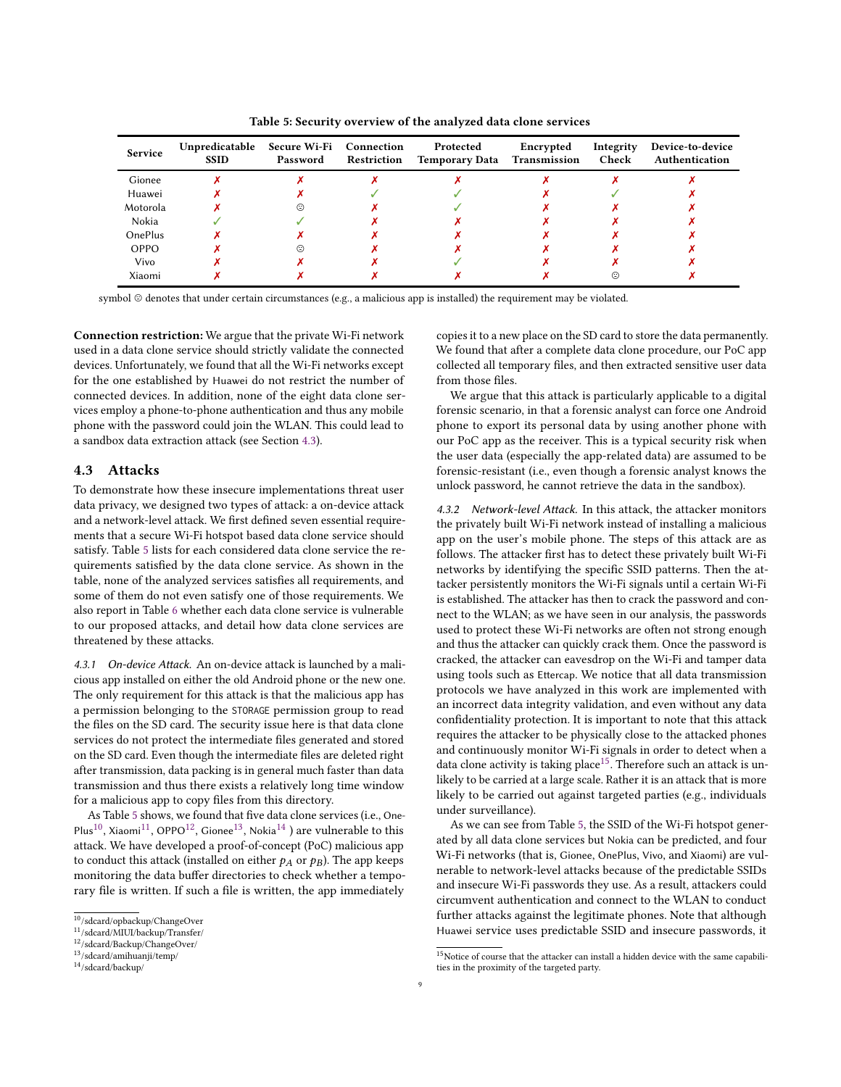Table 5: Security overview of the analyzed data clone services

<span id="page-8-1"></span>

| Service        | Unpredicatable<br><b>SSID</b> | Secure Wi-Fi Connection<br>Password | Restriction | Protected<br><b>Temporary Data Transmission</b> | Encrypted | Integrity<br>Check | Device-to-device<br>Authentication |
|----------------|-------------------------------|-------------------------------------|-------------|-------------------------------------------------|-----------|--------------------|------------------------------------|
| Gionee         |                               |                                     |             |                                                 |           |                    |                                    |
| Huawei         |                               |                                     |             |                                                 |           |                    |                                    |
| Motorola       |                               | ⇔                                   |             |                                                 |           |                    |                                    |
| Nokia          |                               |                                     |             |                                                 |           |                    |                                    |
| <b>OnePlus</b> |                               |                                     |             |                                                 |           |                    |                                    |
| OPPO           |                               | ⊙                                   |             |                                                 |           |                    |                                    |
| Vivo           |                               |                                     |             |                                                 |           |                    |                                    |
| Xiaomi         |                               |                                     |             |                                                 |           | ⇔                  |                                    |

symbol @ denotes that under certain circumstances (e.g., a malicious app is installed) the requirement may be violated.

Connection restriction: We argue that the private Wi-Fi network used in a data clone service should strictly validate the connected devices. Unfortunately, we found that all the Wi-Fi networks except for the one established by Huawei do not restrict the number of connected devices. In addition, none of the eight data clone serphone with the password could join the WLAN. This could lead to process which the phone of the old Android phone or the new or the new oral phone or a sandbox data extraction attack (see Section [4.3\)](#page-8-0).  $T_{\rm eff}$  requirement for the matrix  $\frac{1}{\sqrt{2}}$ vices employ a phone-to-phone authentication and thus any mobile

# <span id="page-8-0"></span>4.3 Attacks

 $\frac{1}{\sqrt{2}}$  card. The security is that data clone is that data clone is that data clone is that data clone is that data clone is that data clone is that data clone is that data clone is that data clone is that data clone To demonstrate how these insecure implementations threat user data privacy, we designed two types of attack: a on-device attack and a network-level attack. We first defined seven essential requirements that a secure Wi-Fi hotspot based data clone service should satisfy. Table 5 lists for each considered data clone service the requirements satisfied by the data clone service. As shown in the table, none of the analyzed services satisfies all requirements, and some of them do not even satisfy one of those requirements. We also report in Table 6 whether each data clone service is vulnerable<br>the approximated of the large of data il learn data clone services and to our proposed attacks, and detail how data clone services are threatened by these attacks.

4.3.1 On-device Attack. An on-device attack is launched by a malicious app installed on either the old Android phone or the new one. The only requirement for this attack is that the malicious app has a permission belonging to the STORAGE permission group to read the files on the SD card. The security issue here is that data clone services do not protect the intermediate files generated and stored on the SD card. Even though the intermediate files are deleted right after transmission, data packing is in general much faster than data transmission and thus there exists a relatively long time window for a malicious app to copy files from this directory.

As Table 5 shows, we found that five data clone services (i.e., One-Filas , Alabin , OFFO , Gibilee , Nokia *J* are vulnerable to this at[tac](#page-8-6)k. We have developed a proof-of-concept (PoC) malicious app  $t$  and  $\alpha$  is the privately built with  $\alpha$  is the privately  $\alpha$  malicious approximations are matter in  $\alpha$ . to conduct this attack (installed on either  $p_A$  or  $p_B$ ). The app keeps follows. The attacker first has to detect these privately built Wi-Fi monitoring the data buffer directories to check whether a tempo-Plus<sup>[10](#page-8-2)</sup>, Xiaomi<sup>[11](#page-8-3)</sup>, OPPO<sup>[12](#page-8-4)</sup>, Gionee<sup>[13](#page-8-5)</sup>, Nokia<sup>14</sup>) are vulnerable to this rary file is written. If such a file is written, the app immediately

copies it to a new place on the SD card to store the data permanently. We found that after a complete data clone procedure, our PoC app collected all temporary files, and then extracted sensitive user data from those files.

We argue that this attack is particularly applicable to a digital forensic scenario, in that a forensic analyst can force one Android phone to export its personal data by using another phone with our PoC app as the receiver. This is a typical security risk when the user data (especially the app-related data) are assumed to be forensic-resistant (i.e., even though a forensic analyst knows the unlock password, he cannot retrieve the data in the sandbox).

requires the attacker to be physically close to the attacked phones 4.3.2 Network-level Attack. In this attack, the attacker monitors the privately built Wi-Fi network instead of installing a malicious app on the user's mobile phone. The steps of this attack are as follows. The attacker first has to detect these privately built Wi-Fi networks by identifying the specific SSID patterns. Then the attacker persistently monitors the Wi-Fi signals until a certain Wi-Fi is established. The attacker has then to crack the password and connect to the WLAN; as we have seen in our analysis, the passwords used to protect these Wi-Fi networks are often not strong enough and thus the attacker can quickly crack them. Once the password is cracked, the attacker can eavesdrop on the Wi-Fi and tamper data using tools such as Ettercap. We notice that all data transmission protocols we have analyzed in this work are implemented with an incorrect data integrity validation, and even without any data confidentiality protection. It is important to note that this attack requires the attacker to be physically close to the attacked phones and continuously monitor Wi-Fi signals in order to detect when a data clone activity is taking place<sup>15</sup>. Therefore such an attack is unlikely to be carried at a large scale. Rather it is an attack that is more likely to be carried out against targeted parties (e.g., individuals the survemance).  $\frac{1}{2}$  is the internal to  $\frac{1}{2}$  in  $\frac{1}{2}$  in  $\frac{1}{2}$  in  $\frac{1}{2}$  in  $\frac{1}{2}$  in  $\frac{1}{2}$  in  $\frac{1}{2}$  in  $\frac{1}{2}$  in  $\frac{1}{2}$  in  $\frac{1}{2}$  in  $\frac{1}{2}$  in  $\frac{1}{2}$  in  $\frac{1}{2}$  in  $\frac{1}{$ under surveillance).

As we can see from Table [5,](#page-8-1) the SSID of the Wi-Fi hotspot gener-<br>and learned data. In a convicted leath of the can be gone listed and from ated by all data clone services but Nokia can be predicted, and four<br>We have real data clone services but Nokia can be predicted, and four Wi-Fi networks (that is, Gionee, OnePlus, Vivo, and Xiaomi) are vul-<br>warning to write when he had the class heavy of the wardistable CCD. nerable to network-level attacks because of the predictable SSIDs and insecure Wi-Fi passwords they use. As a result, attackers could circumvent authentication and connect to the WLAN to conduct further attacks against the legitimate phones. Note that although Huawei service uses predictable SSID and insecure passwords, it

<span id="page-8-2"></span><sup>10</sup>/sdcard/opbackup/ChangeOver <sup>10</sup>/sdcard/opbackup/ChangeOver

<span id="page-8-3"></span><sup>11</sup>/sdcard/MIUI/backup/Transfer/ <sup>11</sup>/sdcard/MIUI/backup/Transfer/

<span id="page-8-4"></span><sup>12</sup>/sdcard/Backup/ChangeOver/ <sup>12</sup>/sdcard/Backup/ChangeOver/

<span id="page-8-5"></span><sup>13</sup>/sdcard/amihuanji/temp/ <sup>13</sup>/sdcard/amihuanji/temp/

<span id="page-8-6"></span><sup>14</sup>/sdcard/backup/ <sup>14</sup>/sdcard/backup/

<span id="page-8-7"></span> $\rm ^{15}$  Notice of course that the attacker can install a hidden device with the same capabilities in the proximity of the targeted party. ties in the proximity of the targeted party.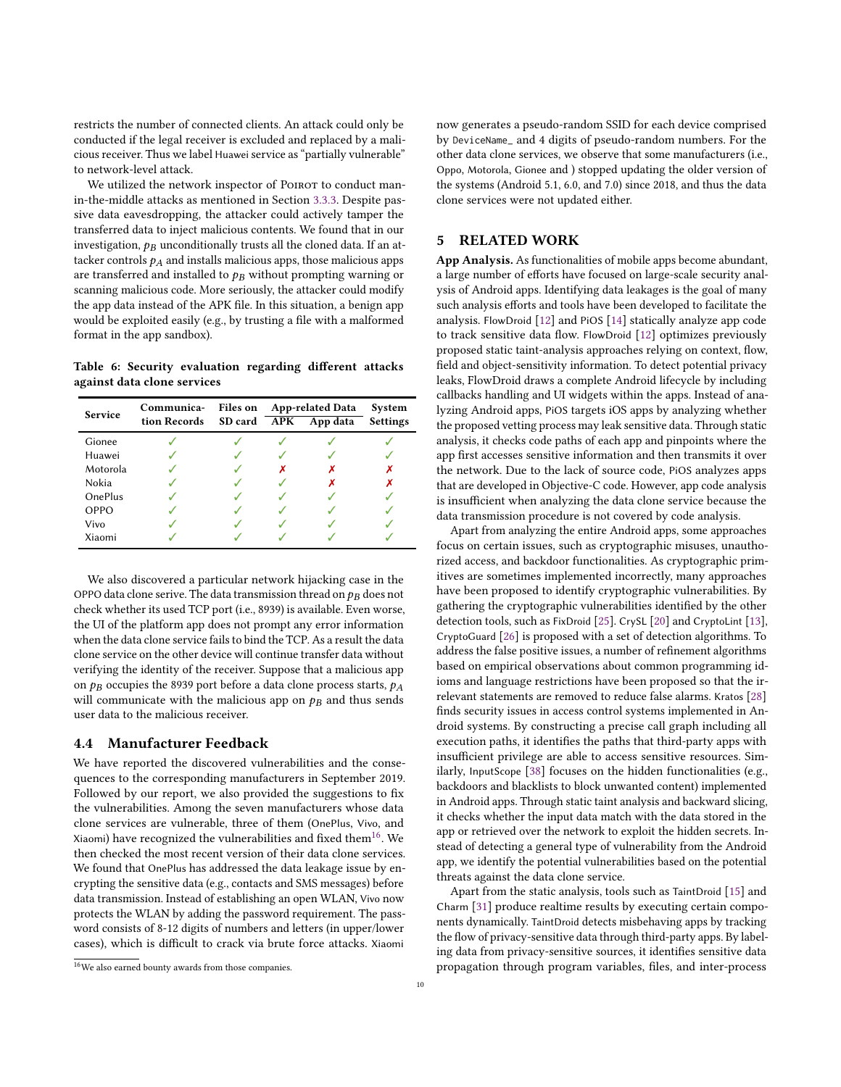restricts the number of connected clients. An attack could only be conducted if the legal receiver is excluded and replaced by a malicious receiver. Thus we label Huawei service as "partially vulnerable" to network-level attack.

We utilized the network inspector of POIROT to conduct manin-the-middle attacks as mentioned in Section [3.3.3.](#page-4-2) Despite passive data eavesdropping, the attacker could actively tamper the transferred data to inject malicious contents. We found that in our investigation,  $p_B$  unconditionally trusts all the cloned data. If an attacker controls  $p_A$  and installs malicious apps, those malicious apps are transferred and installed to  $p_B$  without prompting warning or scanning malicious code. More seriously, the attacker could modify the app data instead of the APK file. In this situation, a benign app would be exploited easily (e.g., by trusting a file with a malformed format in the app sandbox).

<span id="page-9-1"></span>Table 6: Security evaluation regarding different attacks against data clone services

| Service        | Communica-<br>tion Records SD card APK | Files on | <b>App-related Data</b><br>App data | System<br><b>Settings</b> |
|----------------|----------------------------------------|----------|-------------------------------------|---------------------------|
| Gionee         |                                        |          |                                     |                           |
| Huawei         |                                        |          |                                     |                           |
| Motorola       |                                        |          |                                     |                           |
| Nokia          |                                        |          |                                     |                           |
| <b>OnePlus</b> |                                        |          |                                     |                           |
| OPPO           |                                        |          |                                     |                           |
| Vivo           |                                        |          |                                     |                           |
| Xiaomi         |                                        |          |                                     |                           |

We also discovered a particular network hijacking case in the OPPO data clone serive. The data transmission thread on  $p_B$  does not check whether its used TCP port (i.e., 8939) is available. Even worse, the UI of the platform app does not prompt any error information when the data clone service fails to bind the TCP. As a result the data clone service on the other device will continue transfer data without verifying the identity of the receiver. Suppose that a malicious app on  $p_B$  occupies the 8939 port before a data clone process starts,  $p_A$ will communicate with the malicious app on  $p_B$  and thus sends user data to the malicious receiver.

#### 4.4 Manufacturer Feedback

We have reported the discovered vulnerabilities and the consequences to the corresponding manufacturers in September 2019. Followed by our report, we also provided the suggestions to fix the vulnerabilities. Among the seven manufacturers whose data clone services are vulnerable, three of them (OnePlus, Vivo, and Xiaomi) have recognized the vulnerabilities and fixed them<sup>[16](#page-9-2)</sup>. We then checked the most recent version of their data clone services. We found that OnePlus has addressed the data leakage issue by encrypting the sensitive data (e.g., contacts and SMS messages) before data transmission. Instead of establishing an open WLAN, Vivo now protects the WLAN by adding the password requirement. The password consists of 8-12 digits of numbers and letters (in upper/lower cases), which is difficult to crack via brute force attacks. Xiaomi

now generates a pseudo-random SSID for each device comprised by DeviceName\_ and 4 digits of pseudo-random numbers. For the other data clone services, we observe that some manufacturers (i.e., Oppo, Motorola, Gionee and ) stopped updating the older version of the systems (Android 5.1, 6.0, and 7.0) since 2018, and thus the data clone services were not updated either.

# <span id="page-9-0"></span>5 RELATED WORK

App Analysis. As functionalities of mobile apps become abundant, a large number of efforts have focused on large-scale security analysis of Android apps. Identifying data leakages is the goal of many such analysis efforts and tools have been developed to facilitate the analysis. FlowDroid [\[12\]](#page-10-10) and PiOS [\[14\]](#page-11-6) statically analyze app code to track sensitive data flow. FlowDroid [\[12\]](#page-10-10) optimizes previously proposed static taint-analysis approaches relying on context, flow, field and object-sensitivity information. To detect potential privacy leaks, FlowDroid draws a complete Android lifecycle by including callbacks handling and UI widgets within the apps. Instead of analyzing Android apps, PiOS targets iOS apps by analyzing whether the proposed vetting process may leak sensitive data. Through static analysis, it checks code paths of each app and pinpoints where the app first accesses sensitive information and then transmits it over the network. Due to the lack of source code, PiOS analyzes apps that are developed in Objective-C code. However, app code analysis is insufficient when analyzing the data clone service because the data transmission procedure is not covered by code analysis.

Apart from analyzing the entire Android apps, some approaches focus on certain issues, such as cryptographic misuses, unauthorized access, and backdoor functionalities. As cryptographic primitives are sometimes implemented incorrectly, many approaches have been proposed to identify cryptographic vulnerabilities. By gathering the cryptographic vulnerabilities identified by the other detection tools, such as FixDroid [\[25\]](#page-11-7). CrySL [\[20\]](#page-11-8) and CryptoLint [\[13\]](#page-11-9), CryptoGuard [\[26\]](#page-11-10) is proposed with a set of detection algorithms. To address the false positive issues, a number of refinement algorithms based on empirical observations about common programming idioms and language restrictions have been proposed so that the irrelevant statements are removed to reduce false alarms. Kratos [\[28\]](#page-11-11) finds security issues in access control systems implemented in Android systems. By constructing a precise call graph including all execution paths, it identifies the paths that third-party apps with insufficient privilege are able to access sensitive resources. Similarly, InputScope [\[38\]](#page-11-12) focuses on the hidden functionalities (e.g., backdoors and blacklists to block unwanted content) implemented in Android apps. Through static taint analysis and backward slicing, it checks whether the input data match with the data stored in the app or retrieved over the network to exploit the hidden secrets. Instead of detecting a general type of vulnerability from the Android app, we identify the potential vulnerabilities based on the potential threats against the data clone service.

Apart from the static analysis, tools such as TaintDroid [\[15\]](#page-11-13) and Charm [\[31\]](#page-11-14) produce realtime results by executing certain components dynamically. TaintDroid detects misbehaving apps by tracking the flow of privacy-sensitive data through third-party apps. By labeling data from privacy-sensitive sources, it identifies sensitive data propagation through program variables, files, and inter-process

<span id="page-9-2"></span><sup>16</sup>We also earned bounty awards from those companies.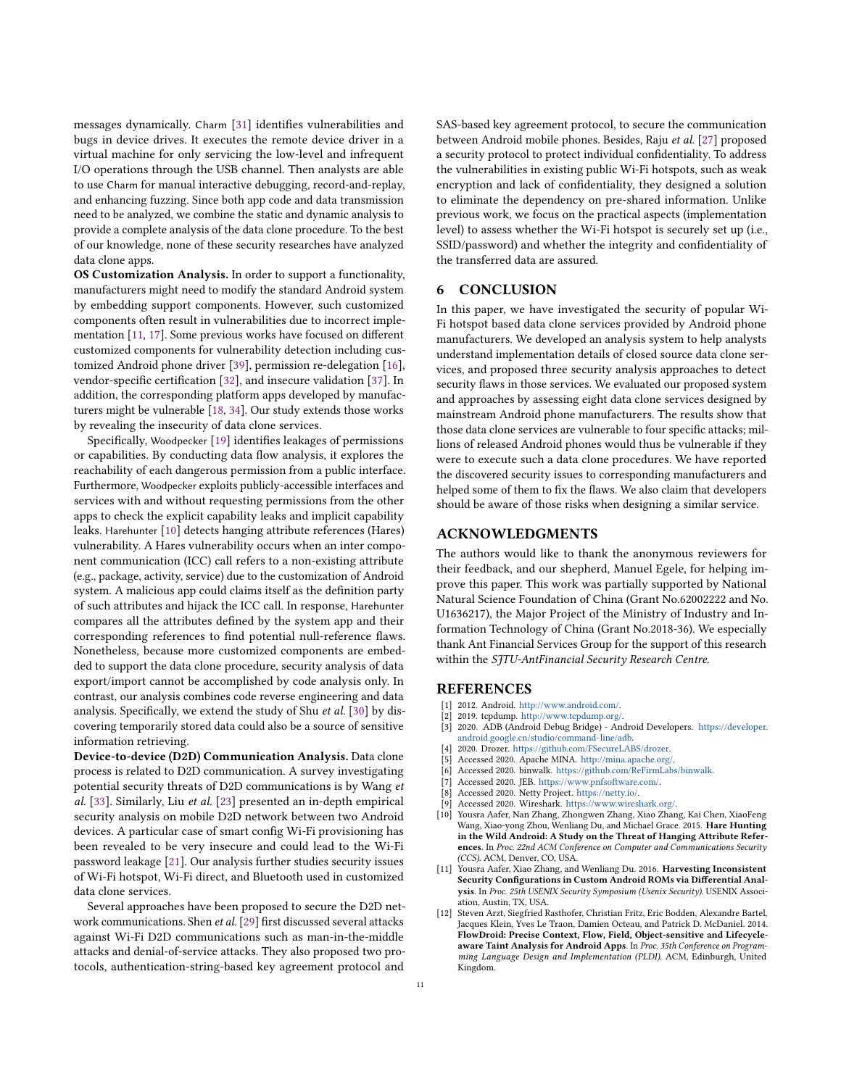messages dynamically. Charm [\[31\]](#page-11-14) identifies vulnerabilities and bugs in device drives. It executes the remote device driver in a virtual machine for only servicing the low-level and infrequent I/O operations through the USB channel. Then analysts are able to use Charm for manual interactive debugging, record-and-replay, and enhancing fuzzing. Since both app code and data transmission need to be analyzed, we combine the static and dynamic analysis to provide a complete analysis of the data clone procedure. To the best of our knowledge, none of these security researches have analyzed data clone apps.

OS Customization Analysis. In order to support a functionality, manufacturers might need to modify the standard Android system by embedding support components. However, such customized components often result in vulnerabilities due to incorrect implementation [\[11,](#page-10-11) [17\]](#page-11-15). Some previous works have focused on different customized components for vulnerability detection including customized Android phone driver [\[39\]](#page-11-16), permission re-delegation [\[16\]](#page-11-17), vendor-specific certification [\[32\]](#page-11-18), and insecure validation [\[37\]](#page-11-19). In addition, the corresponding platform apps developed by manufacturers might be vulnerable [\[18,](#page-11-20) [34\]](#page-11-21). Our study extends those works by revealing the insecurity of data clone services.

Specifically, Woodpecker [\[19\]](#page-11-22) identifies leakages of permissions or capabilities. By conducting data flow analysis, it explores the reachability of each dangerous permission from a public interface. Furthermore, Woodpecker exploits publicly-accessible interfaces and services with and without requesting permissions from the other apps to check the explicit capability leaks and implicit capability leaks. Harehunter [\[10\]](#page-10-12) detects hanging attribute references (Hares) vulnerability. A Hares vulnerability occurs when an inter component communication (ICC) call refers to a non-existing attribute (e.g., package, activity, service) due to the customization of Android system. A malicious app could claims itself as the definition party of such attributes and hijack the ICC call. In response, Harehunter compares all the attributes defined by the system app and their corresponding references to find potential null-reference flaws. Nonetheless, because more customized components are embedded to support the data clone procedure, security analysis of data export/import cannot be accomplished by code analysis only. In contrast, our analysis combines code reverse engineering and data analysis. Specifically, we extend the study of Shu et al. [\[30\]](#page-11-23) by discovering temporarily stored data could also be a source of sensitive information retrieving.

Device-to-device (D2D) Communication Analysis. Data clone process is related to D2D communication. A survey investigating potential security threats of D2D communications is by Wang et al. [\[33\]](#page-11-24). Similarly, Liu et al. [\[23\]](#page-11-5) presented an in-depth empirical security analysis on mobile D2D network between two Android devices. A particular case of smart config Wi-Fi provisioning has been revealed to be very insecure and could lead to the Wi-Fi password leakage [\[21\]](#page-11-25). Our analysis further studies security issues of Wi-Fi hotspot, Wi-Fi direct, and Bluetooth used in customized data clone services.

Several approaches have been proposed to secure the D2D network communications. Shen et al. [\[29\]](#page-11-26) first discussed several attacks against Wi-Fi D2D communications such as man-in-the-middle attacks and denial-of-service attacks. They also proposed two protocols, authentication-string-based key agreement protocol and

SAS-based key agreement protocol, to secure the communication between Android mobile phones. Besides, Raju et al. [\[27\]](#page-11-27) proposed a security protocol to protect individual confidentiality. To address the vulnerabilities in existing public Wi-Fi hotspots, such as weak encryption and lack of confidentiality, they designed a solution to eliminate the dependency on pre-shared information. Unlike previous work, we focus on the practical aspects (implementation level) to assess whether the Wi-Fi hotspot is securely set up (i.e., SSID/password) and whether the integrity and confidentiality of the transferred data are assured.

#### <span id="page-10-0"></span>6 CONCLUSION

In this paper, we have investigated the security of popular Wi-Fi hotspot based data clone services provided by Android phone manufacturers. We developed an analysis system to help analysts understand implementation details of closed source data clone services, and proposed three security analysis approaches to detect security flaws in those services. We evaluated our proposed system and approaches by assessing eight data clone services designed by mainstream Android phone manufacturers. The results show that those data clone services are vulnerable to four specific attacks; millions of released Android phones would thus be vulnerable if they were to execute such a data clone procedures. We have reported the discovered security issues to corresponding manufacturers and helped some of them to fix the flaws. We also claim that developers should be aware of those risks when designing a similar service.

# ACKNOWLEDGMENTS

The authors would like to thank the anonymous reviewers for their feedback, and our shepherd, Manuel Egele, for helping improve this paper. This work was partially supported by National Natural Science Foundation of China (Grant No.62002222 and No. U1636217), the Major Project of the Ministry of Industry and Information Technology of China (Grant No.2018-36). We especially thank Ant Financial Services Group for the support of this research within the SITU-AntFinancial Security Research Centre.

#### REFERENCES

- <span id="page-10-2"></span>[1] 2012. Android. [http://www.android.com/.](http://www.android.com/)
- <span id="page-10-1"></span>
- <span id="page-10-4"></span>[2] 2019. tcpdump. http://www.tcpdump.org/<br>[3] 2020. ADB (Android Debug Bridge) - An [3] 2020. ADB (Android Debug Bridge) - Android Developers. [https://developer.](https://developer.android.google.cn/studio/command-line/adb) [android.google.cn/studio/command-line/adb.](https://developer.android.google.cn/studio/command-line/adb)
- <span id="page-10-6"></span>[4] 2020. Drozer. [https://github.com/FSecureLABS/drozer.](https://github.com/FSecureLABS/drozer)<br>[5] Accessed 2020. Apache MINA. http://mina.apache.org/
- <span id="page-10-8"></span>Accessed 2020. Apache MINA. http://mina.apache.org/
- <span id="page-10-9"></span>[6] Accessed 2020. binwalk. [https://github.com/ReFirmLabs/binwalk.](https://github.com/ReFirmLabs/binwalk)
- <span id="page-10-3"></span>[7] Accessed 2020. JEB. [https://www.pnfsoftware.com/.](https://www.pnfsoftware.com/)
- <span id="page-10-7"></span>[8] Accessed 2020. Netty Project. [https://netty.io/.](https://netty.io/)
- <span id="page-10-5"></span>[9] Accessed 2020. Wireshark. [https://www.wireshark.org/.](https://www.wireshark.org/)
- <span id="page-10-12"></span>[10] Yousra Aafer, Nan Zhang, Zhongwen Zhang, Xiao Zhang, Kai Chen, XiaoFeng Wang, Xiao-yong Zhou, Wenliang Du, and Michael Grace. 2015. Hare Hunting in the Wild Android: A Study on the Threat of Hanging Attribute References. In Proc. 22nd ACM Conference on Computer and Communications Security (CCS). ACM, Denver, CO, USA.
- <span id="page-10-11"></span>[11] Yousra Aafer, Xiao Zhang, and Wenliang Du. 2016. Harvesting Inconsistent Security Configurations in Custom Android ROMs via Differential Analysis. In Proc. 25th USENIX Security Symposium (Usenix Security). USENIX Association, Austin, TX, USA.
- <span id="page-10-10"></span>[12] Steven Arzt, Siegfried Rasthofer, Christian Fritz, Eric Bodden, Alexandre Bartel, Jacques Klein, Yves Le Traon, Damien Octeau, and Patrick D. McDaniel. 2014. FlowDroid: Precise Context, Flow, Field, Object-sensitive and Lifecycleaware Taint Analysis for Android Apps. In Proc. 35th Conference on Programming Language Design and Implementation (PLDI). ACM, Edinburgh, United Kingdom.